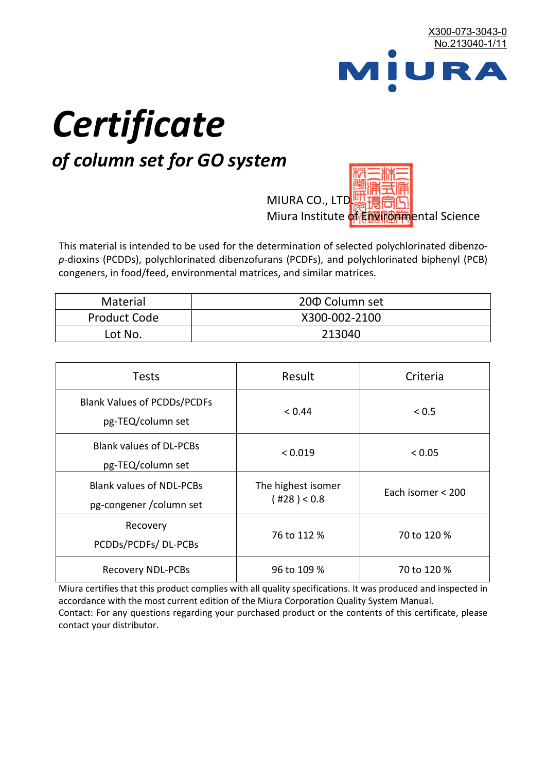

# *Certificate*

## *of column set for GO system*

MIURA CO., LTD. Miura Institute of 正版而解ental Science

This material is intended to be used for the determination of selected polychlorinated dibenzo*p*-dioxins (PCDDs), polychlorinated dibenzofurans (PCDFs), and polychlorinated biphenyl (PCB) congeners, in food/feed, environmental matrices, and similar matrices.

| <b>Material</b>     | 200 Column set |
|---------------------|----------------|
| <b>Product Code</b> | X300-002-2100  |
| Lot No.             | 213040         |

| <b>Tests</b>                                                | Result                            | Criteria          |
|-------------------------------------------------------------|-----------------------------------|-------------------|
| <b>Blank Values of PCDDs/PCDFs</b><br>pg-TEQ/column set     | < 0.44                            | < 0.5             |
| <b>Blank values of DL-PCBs</b><br>pg-TEQ/column set         | < 0.019                           | < 0.05            |
| <b>Blank values of NDL-PCBs</b><br>pg-congener / column set | The highest isomer<br>(428) < 0.8 | Each isomer < 200 |
| Recovery<br>PCDDs/PCDFs/DL-PCBs                             | 76 to 112 %                       | 70 to 120 %       |
| <b>Recovery NDL-PCBs</b>                                    | 96 to 109 %                       | 70 to 120 %       |

Miura certifies that this product complies with all quality specifications. It was produced and inspected in accordance with the most current edition of the Miura Corporation Quality System Manual. Contact: For any questions regarding your purchased product or the contents of this certificate, please contact your distributor.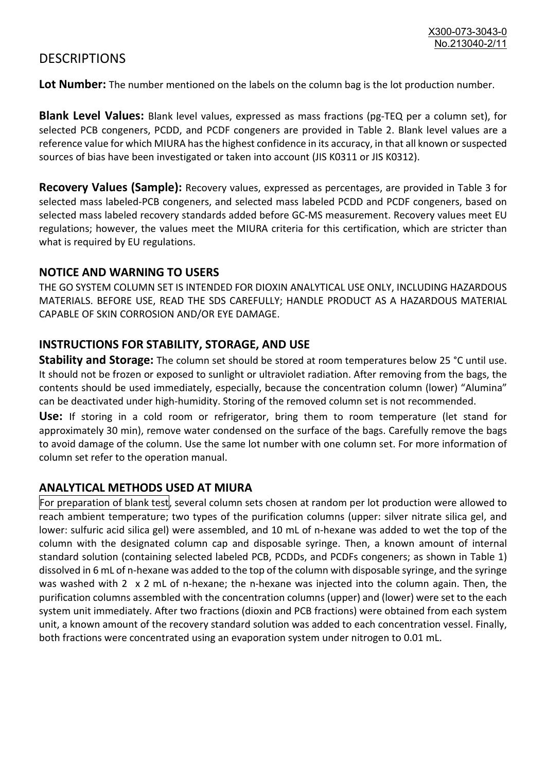### **DESCRIPTIONS**

**Lot Number:** The number mentioned on the labels on the column bag is the lot production number.

**Blank Level Values:** Blank level values, expressed as mass fractions (pg-TEQ per a column set), for selected PCB congeners, PCDD, and PCDF congeners are provided in Table 2. Blank level values are a reference value for which MIURA has the highest confidence in its accuracy, in that all known or suspected sources of bias have been investigated or taken into account (JIS K0311 or JIS K0312).

**Recovery Values (Sample):** Recovery values, expressed as percentages, are provided in Table 3 for selected mass labeled-PCB congeners, and selected mass labeled PCDD and PCDF congeners, based on selected mass labeled recovery standards added before GC-MS measurement. Recovery values meet EU regulations; however, the values meet the MIURA criteria for this certification, which are stricter than what is required by EU regulations.

#### **NOTICE AND WARNING TO USERS**

THE GO SYSTEM COLUMN SET IS INTENDED FOR DIOXIN ANALYTICAL USE ONLY, INCLUDING HAZARDOUS MATERIALS. BEFORE USE, READ THE SDS CAREFULLY; HANDLE PRODUCT AS A HAZARDOUS MATERIAL CAPABLE OF SKIN CORROSION AND/OR EYE DAMAGE.

#### **INSTRUCTIONS FOR STABILITY, STORAGE, AND USE**

**Stability and Storage:** The column set should be stored at room temperatures below 25 °C until use. It should not be frozen or exposed to sunlight or ultraviolet radiation. After removing from the bags, the contents should be used immediately, especially, because the concentration column (lower) "Alumina" can be deactivated under high-humidity. Storing of the removed column set is not recommended.

**Use:** If storing in a cold room or refrigerator, bring them to room temperature (let stand for approximately 30 min), remove water condensed on the surface of the bags. Carefully remove the bags to avoid damage of the column. Use the same lot number with one column set. For more information of column set refer to the operation manual.

#### **ANALYTICAL METHODS USED AT MIURA**

For preparation of blank test, several column sets chosen at random per lot production were allowed to reach ambient temperature; two types of the purification columns (upper: silver nitrate silica gel, and lower: sulfuric acid silica gel) were assembled, and 10 mL of n-hexane was added to wet the top of the column with the designated column cap and disposable syringe. Then, a known amount of internal standard solution (containing selected labeled PCB, PCDDs, and PCDFs congeners; as shown in Table 1) dissolved in 6 mL of n-hexane was added to the top of the column with disposable syringe, and the syringe was washed with 2 x 2 mL of n-hexane; the n-hexane was injected into the column again. Then, the purification columns assembled with the concentration columns (upper) and (lower) were set to the each system unit immediately. After two fractions (dioxin and PCB fractions) were obtained from each system unit, a known amount of the recovery standard solution was added to each concentration vessel. Finally, both fractions were concentrated using an evaporation system under nitrogen to 0.01 mL.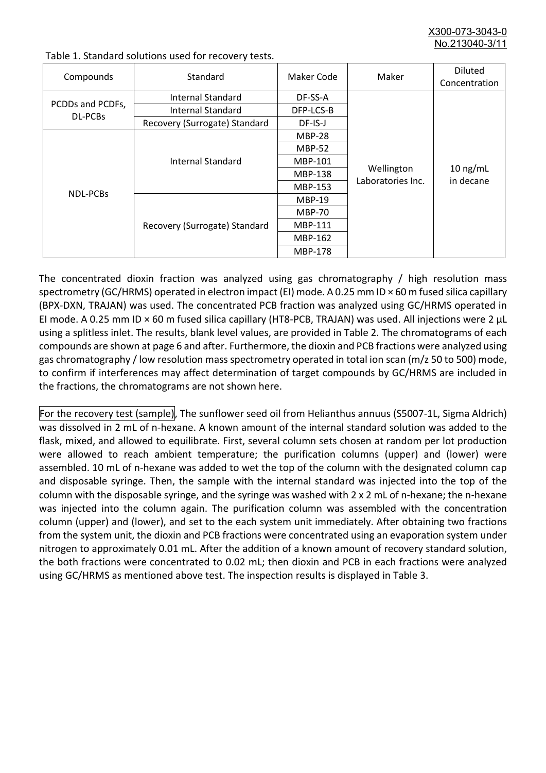X300-073-3043-0 No.213040-3/

| Compounds                          | Standard                      | Maker Code     | Maker                           | <b>Diluted</b><br>Concentration |
|------------------------------------|-------------------------------|----------------|---------------------------------|---------------------------------|
|                                    | Internal Standard             | DF-SS-A        |                                 | $10$ ng/mL<br>in decane         |
| PCDDs and PCDFs,<br><b>DL-PCBs</b> | <b>Internal Standard</b>      | DFP-LCS-B      | Wellington<br>Laboratories Inc. |                                 |
|                                    | Recovery (Surrogate) Standard | DF-IS-J        |                                 |                                 |
| <b>NDL-PCBs</b>                    | Internal Standard             | <b>MBP-28</b>  |                                 |                                 |
|                                    |                               | <b>MBP-52</b>  |                                 |                                 |
|                                    |                               | MBP-101        |                                 |                                 |
|                                    |                               | <b>MBP-138</b> |                                 |                                 |
|                                    |                               | MBP-153        |                                 |                                 |
|                                    | Recovery (Surrogate) Standard | <b>MBP-19</b>  |                                 |                                 |
|                                    |                               | <b>MBP-70</b>  |                                 |                                 |
|                                    |                               | MBP-111        |                                 |                                 |
|                                    |                               | MBP-162        |                                 |                                 |
|                                    |                               | <b>MBP-178</b> |                                 |                                 |

Table 1. Standard solutions used for recovery tests.

The concentrated dioxin fraction was analyzed using gas chromatography / high resolution mass spectrometry (GC/HRMS) operated in electron impact (EI) mode. A 0.25 mm ID × 60 m fused silica capillary (BPX-DXN, TRAJAN) was used. The concentrated PCB fraction was analyzed using GC/HRMS operated in EI mode. A 0.25 mm ID × 60 m fused silica capillary (HT8-PCB, TRAJAN) was used. All injections were 2 μL using a splitless inlet. The results, blank level values, are provided in Table 2. The chromatograms of each compounds are shown at page 6 and after. Furthermore, the dioxin and PCB fractions were analyzed using gas chromatography / low resolution mass spectrometry operated in total ion scan (m/z 50 to 500) mode, to confirm if interferences may affect determination of target compounds by GC/HRMS are included in the fractions, the chromatograms are not shown here.

For the recovery test (sample), The sunflower seed oil from Helianthus annuus (S5007-1L, Sigma Aldrich) was dissolved in 2 mL of n-hexane. A known amount of the internal standard solution was added to the flask, mixed, and allowed to equilibrate. First, several column sets chosen at random per lot production were allowed to reach ambient temperature; the purification columns (upper) and (lower) were assembled. 10 mL of n-hexane was added to wet the top of the column with the designated column cap and disposable syringe. Then, the sample with the internal standard was injected into the top of the column with the disposable syringe, and the syringe was washed with 2 x 2 mL of n-hexane; the n-hexane was injected into the column again. The purification column was assembled with the concentration column (upper) and (lower), and set to the each system unit immediately. After obtaining two fractions from the system unit, the dioxin and PCB fractions were concentrated using an evaporation system under nitrogen to approximately 0.01 mL. After the addition of a known amount of recovery standard solution, the both fractions were concentrated to 0.02 mL; then dioxin and PCB in each fractions were analyzed using GC/HRMS as mentioned above test. The inspection results is displayed in Table 3.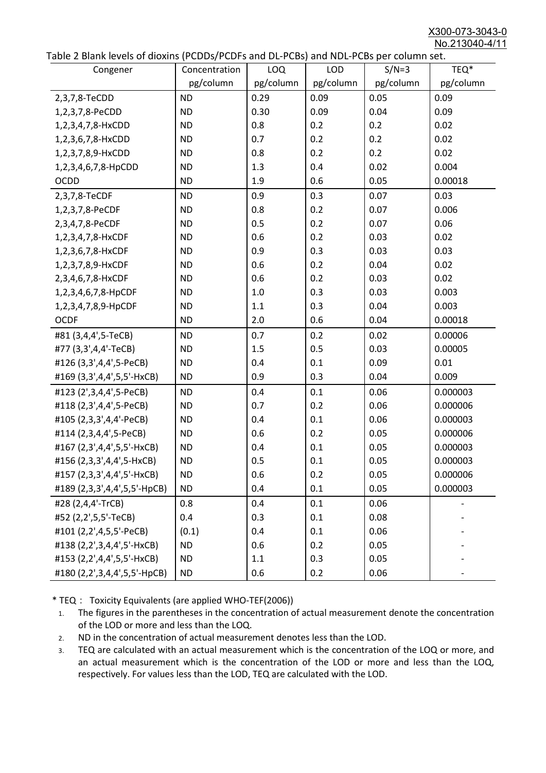X300-073-3043-0 No.213040-4/11

|  | Table 2 Blank levels of dioxins (PCDDs/PCDFs and DL-PCBs) and NDL-PCBs per column set. |
|--|----------------------------------------------------------------------------------------|
|--|----------------------------------------------------------------------------------------|

| able 2 Dialin levels of dioxins (I CDDs) FCDTs and DET CDs) and NDET CDs per column sett.<br>Congener | Concentration | <b>LOQ</b> | <b>LOD</b> | $S/N=3$   | TEQ*      |
|-------------------------------------------------------------------------------------------------------|---------------|------------|------------|-----------|-----------|
|                                                                                                       | pg/column     | pg/column  | pg/column  | pg/column | pg/column |
| 2,3,7,8-TeCDD                                                                                         | <b>ND</b>     | 0.29       | 0.09       | 0.05      | 0.09      |
| 1,2,3,7,8-PeCDD                                                                                       | <b>ND</b>     | 0.30       | 0.09       | 0.04      | 0.09      |
| 1,2,3,4,7,8-HxCDD                                                                                     | <b>ND</b>     | 0.8        | 0.2        | 0.2       | 0.02      |
| 1,2,3,6,7,8-HxCDD                                                                                     | <b>ND</b>     | 0.7        | 0.2        | 0.2       | 0.02      |
| 1,2,3,7,8,9-HxCDD                                                                                     | <b>ND</b>     | 0.8        | 0.2        | 0.2       | 0.02      |
| 1,2,3,4,6,7,8-HpCDD                                                                                   | <b>ND</b>     | 1.3        | 0.4        | 0.02      | 0.004     |
| <b>OCDD</b>                                                                                           | <b>ND</b>     | 1.9        | 0.6        | 0.05      | 0.00018   |
| 2,3,7,8-TeCDF                                                                                         | <b>ND</b>     | 0.9        | 0.3        | 0.07      | 0.03      |
| 1,2,3,7,8-PeCDF                                                                                       | <b>ND</b>     | 0.8        | 0.2        | 0.07      | 0.006     |
| 2,3,4,7,8-PeCDF                                                                                       | <b>ND</b>     | 0.5        | 0.2        | 0.07      | 0.06      |
| 1,2,3,4,7,8-HxCDF                                                                                     | <b>ND</b>     | 0.6        | 0.2        | 0.03      | 0.02      |
| 1,2,3,6,7,8-HxCDF                                                                                     | <b>ND</b>     | 0.9        | 0.3        | 0.03      | 0.03      |
| 1,2,3,7,8,9-HxCDF                                                                                     | <b>ND</b>     | 0.6        | 0.2        | 0.04      | 0.02      |
| 2,3,4,6,7,8-HxCDF                                                                                     | <b>ND</b>     | 0.6        | 0.2        | 0.03      | 0.02      |
| 1,2,3,4,6,7,8-HpCDF                                                                                   | <b>ND</b>     | 1.0        | 0.3        | 0.03      | 0.003     |
| 1,2,3,4,7,8,9-HpCDF                                                                                   | <b>ND</b>     | 1.1        | 0.3        | 0.04      | 0.003     |
| <b>OCDF</b>                                                                                           | <b>ND</b>     | 2.0        | 0.6        | 0.04      | 0.00018   |
| #81 (3,4,4',5-TeCB)                                                                                   | <b>ND</b>     | 0.7        | 0.2        | 0.02      | 0.00006   |
| #77 (3,3',4,4'-TeCB)                                                                                  | <b>ND</b>     | 1.5        | 0.5        | 0.03      | 0.00005   |
| #126 (3,3',4,4',5-PeCB)                                                                               | <b>ND</b>     | 0.4        | 0.1        | 0.09      | 0.01      |
| #169 (3,3',4,4',5,5'-HxCB)                                                                            | <b>ND</b>     | 0.9        | 0.3        | 0.04      | 0.009     |
| #123 (2',3,4,4',5-PeCB)                                                                               | <b>ND</b>     | 0.4        | 0.1        | 0.06      | 0.000003  |
| #118 (2,3',4,4',5-PeCB)                                                                               | <b>ND</b>     | 0.7        | 0.2        | 0.06      | 0.000006  |
| #105 (2,3,3',4,4'-PeCB)                                                                               | <b>ND</b>     | 0.4        | 0.1        | 0.06      | 0.000003  |
| #114 (2,3,4,4',5-PeCB)                                                                                | <b>ND</b>     | 0.6        | 0.2        | 0.05      | 0.000006  |
| #167 (2,3',4,4',5,5'-HxCB)                                                                            | <b>ND</b>     | 0.4        | 0.1        | 0.05      | 0.000003  |
| #156 (2,3,3',4,4',5-HxCB)                                                                             | <b>ND</b>     | 0.5        | 0.1        | 0.05      | 0.000003  |
| #157 (2,3,3',4,4',5'-HxCB)                                                                            | <b>ND</b>     | 0.6        | 0.2        | 0.05      | 0.000006  |
| #189 (2,3,3',4,4',5,5'-HpCB)                                                                          | <b>ND</b>     | 0.4        | 0.1        | 0.05      | 0.000003  |
| #28 (2,4,4'-TrCB)                                                                                     | 0.8           | 0.4        | 0.1        | 0.06      |           |
| #52 (2,2',5,5'-TeCB)                                                                                  | 0.4           | 0.3        | 0.1        | 0.08      |           |
| #101 (2,2',4,5,5'-PeCB)                                                                               | (0.1)         | 0.4        | 0.1        | 0.06      |           |
| #138 (2,2',3,4,4',5'-HxCB)                                                                            | <b>ND</b>     | 0.6        | 0.2        | 0.05      |           |
| #153 (2,2',4,4',5,5'-HxCB)                                                                            | <b>ND</b>     | 1.1        | 0.3        | 0.05      |           |
| #180 (2,2',3,4,4',5,5'-HpCB)                                                                          | <b>ND</b>     | 0.6        | 0.2        | 0.06      |           |

\* TEQ: Toxicity Equivalents (are applied WHO-TEF(2006))

- 1. The figures in the parentheses in the concentration of actual measurement denote the concentration of the LOD or more and less than the LOQ.
- 2. ND in the concentration of actual measurement denotes less than the LOD.
- 3. TEQ are calculated with an actual measurement which is the concentration of the LOQ or more, and an actual measurement which is the concentration of the LOD or more and less than the LOQ, respectively. For values less than the LOD, TEQ are calculated with the LOD.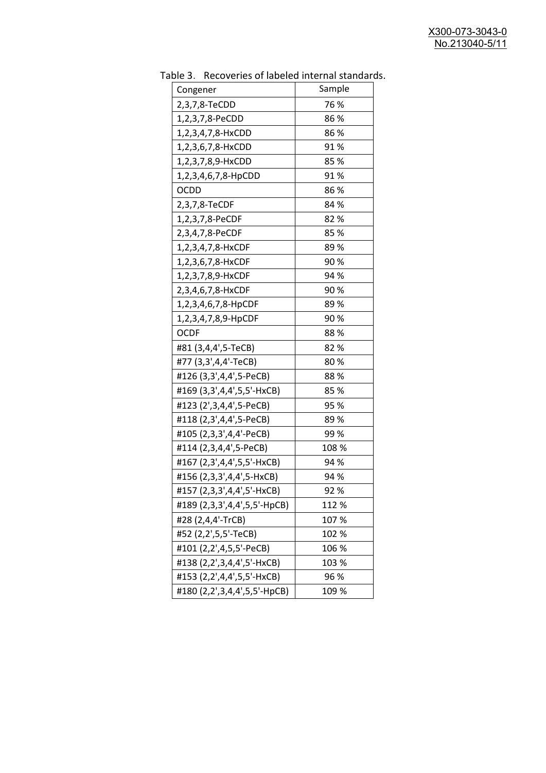| יכ אומג<br>Congener          | <b>INCLOSUTION</b> OF REPORT THE THEIR STRINGER<br>Sample |
|------------------------------|-----------------------------------------------------------|
| 2,3,7,8-TeCDD                | 76 %                                                      |
| 1,2,3,7,8-PeCDD              | 86 %                                                      |
| 1,2,3,4,7,8-HxCDD            | 86%                                                       |
| 1,2,3,6,7,8-HxCDD            | 91%                                                       |
| 1,2,3,7,8,9-HxCDD            | 85 %                                                      |
| 1,2,3,4,6,7,8-HpCDD          | 91%                                                       |
| <b>OCDD</b>                  | 86%                                                       |
| 2,3,7,8-TeCDF                | 84 %                                                      |
| 1,2,3,7,8-PeCDF              | 82%                                                       |
| 2,3,4,7,8-PeCDF              | 85%                                                       |
| 1,2,3,4,7,8-HxCDF            | 89%                                                       |
| 1,2,3,6,7,8-HxCDF            | 90%                                                       |
| 1,2,3,7,8,9-HxCDF            | 94 %                                                      |
| 2,3,4,6,7,8-HxCDF            | 90%                                                       |
| 1,2,3,4,6,7,8-HpCDF          | 89%                                                       |
| 1,2,3,4,7,8,9-HpCDF          | 90%                                                       |
| <b>OCDF</b>                  | 88%                                                       |
| #81 (3,4,4',5-TeCB)          | 82%                                                       |
| #77 (3,3',4,4'-TeCB)         | 80%                                                       |
| #126 (3,3',4,4',5-PeCB)      | 88%                                                       |
| #169 (3,3',4,4',5,5'-HxCB)   | 85%                                                       |
| #123 (2', 3, 4, 4', 5-PeCB)  | 95 %                                                      |
| #118 (2,3',4,4',5-PeCB)      | 89%                                                       |
| #105 (2,3,3',4,4'-PeCB)      | 99%                                                       |
| #114 (2,3,4,4',5-PeCB)       | 108 %                                                     |
| #167 (2,3',4,4',5,5'-HxCB)   | 94 %                                                      |
| #156 (2,3,3',4,4',5-HxCB)    | 94 %                                                      |
| #157 (2,3,3',4,4',5'-HxCB)   | 92 %                                                      |
| #189 (2,3,3',4,4',5,5'-HpCB) | 112 %                                                     |
| #28 (2,4,4'-TrCB)            | 107 %                                                     |
| #52 (2,2',5,5'-TeCB)         | 102 %                                                     |
| #101 (2,2',4,5,5'-PeCB)      | 106 %                                                     |
| #138 (2,2',3,4,4',5'-HxCB)   | 103 %                                                     |
| #153 (2,2',4,4',5,5'-HxCB)   | 96 %                                                      |
| #180 (2,2',3,4,4',5,5'-HpCB) | 109 %                                                     |

Table 3. Recoveries of labeled internal standards.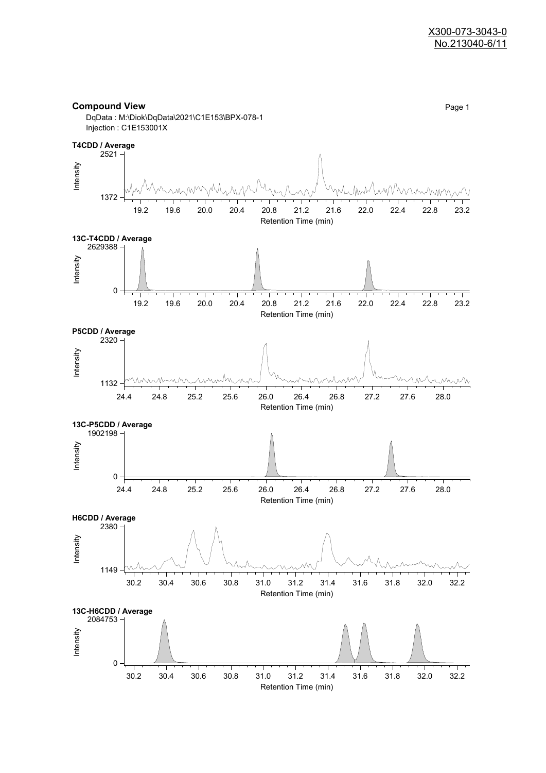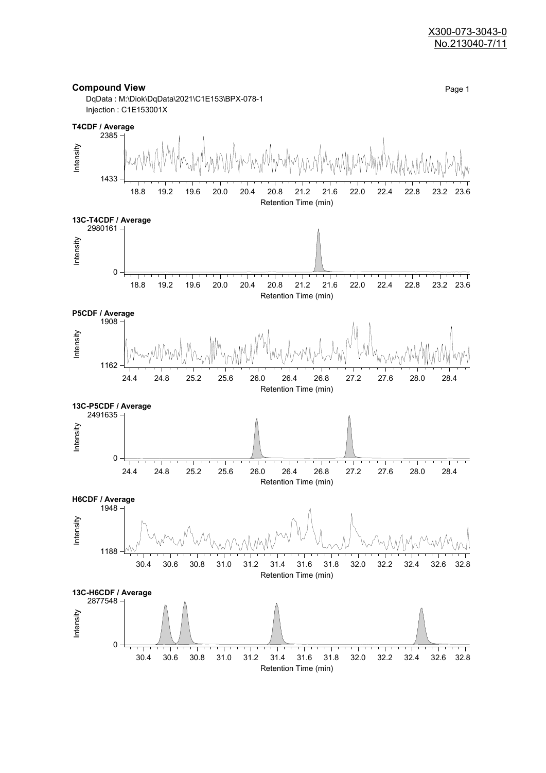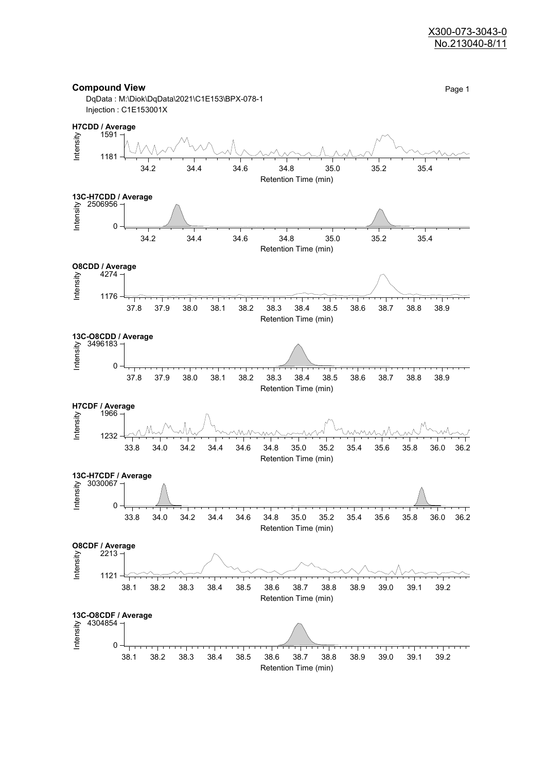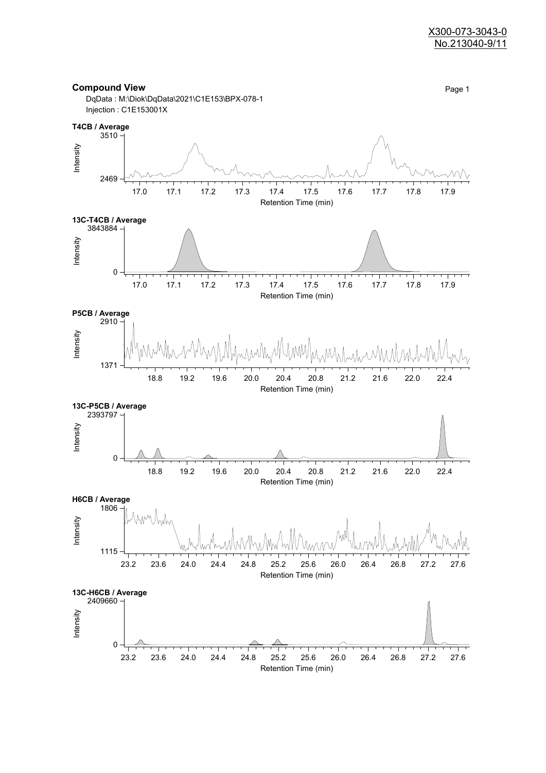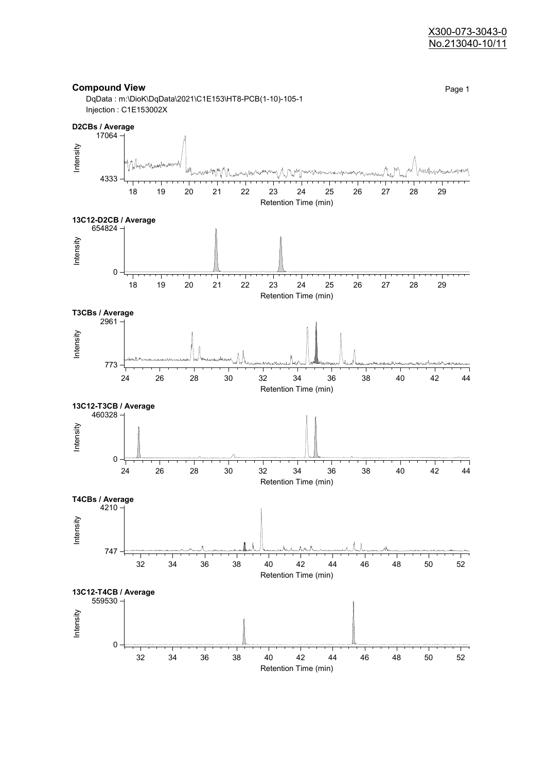

Retention Time (min)